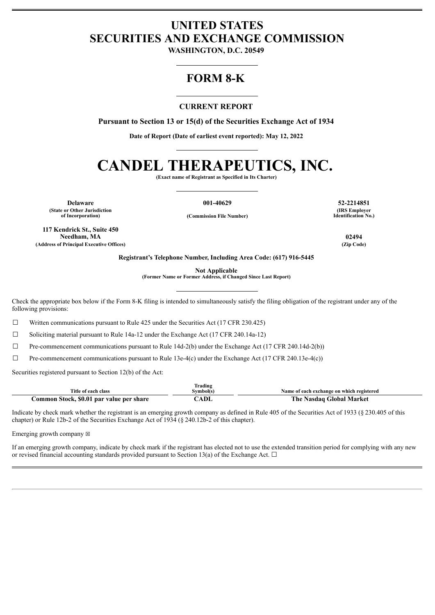# **UNITED STATES SECURITIES AND EXCHANGE COMMISSION**

**WASHINGTON, D.C. 20549**

# **FORM 8-K**

#### **CURRENT REPORT**

**Pursuant to Section 13 or 15(d) of the Securities Exchange Act of 1934**

**Date of Report (Date of earliest event reported): May 12, 2022**

# **CANDEL THERAPEUTICS, INC.**

**(Exact name of Registrant as Specified in Its Charter)**

**Delaware 001-40629 52-2214851 (State or Other Jurisdiction**

**of Incorporation) (Commission File Number)**

**117 Kendrick St., Suite 450 Needham, MA 02494 (Address of Principal Executive Offices) (Zip Code)**

**(IRS Employer Identification No.)**

**Registrant's Telephone Number, Including Area Code: (617) 916-5445**

**Not Applicable**

**(Former Name or Former Address, if Changed Since Last Report)**

Check the appropriate box below if the Form 8-K filing is intended to simultaneously satisfy the filing obligation of the registrant under any of the following provisions:

 $\Box$  Written communications pursuant to Rule 425 under the Securities Act (17 CFR 230.425)

 $\Box$  Soliciting material pursuant to Rule 14a-12 under the Exchange Act (17 CFR 240.14a-12)

 $\Box$  Pre-commencement communications pursuant to Rule 14d-2(b) under the Exchange Act (17 CFR 240.14d-2(b))

 $\Box$  Pre-commencement communications pursuant to Rule 13e-4(c) under the Exchange Act (17 CFR 240.13e-4(c))

Securities registered pursuant to Section 12(b) of the Act:

|                                          | --<br>Trading |                                           |
|------------------------------------------|---------------|-------------------------------------------|
| Title of each class                      | $5$ symbol(s) | Name of each exchange on which registered |
| Common Stock, \$0.01 par value per share | ADL           | The .<br>`Nasdaq Global Market            |

Indicate by check mark whether the registrant is an emerging growth company as defined in Rule 405 of the Securities Act of 1933 (§ 230.405 of this chapter) or Rule 12b-2 of the Securities Exchange Act of 1934 (§ 240.12b-2 of this chapter).

Emerging growth company  $\boxtimes$ 

If an emerging growth company, indicate by check mark if the registrant has elected not to use the extended transition period for complying with any new or revised financial accounting standards provided pursuant to Section 13(a) of the Exchange Act.  $\Box$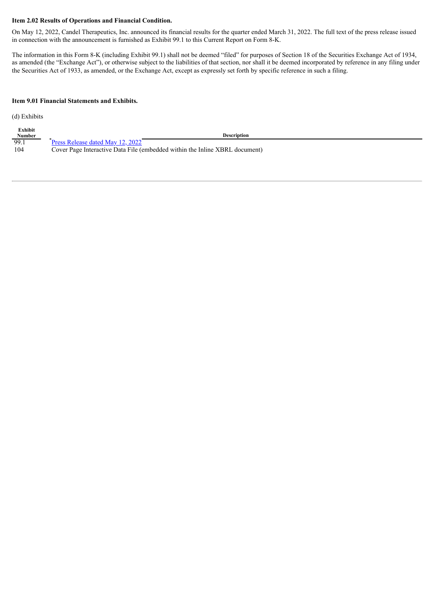#### **Item 2.02 Results of Operations and Financial Condition.**

On May 12, 2022, Candel Therapeutics, Inc. announced its financial results for the quarter ended March 31, 2022. The full text of the press release issued in connection with the announcement is furnished as Exhibit 99.1 to this Current Report on Form 8-K.

The information in this Form 8-K (including Exhibit 99.1) shall not be deemed "filed" for purposes of Section 18 of the Securities Exchange Act of 1934, as amended (the "Exchange Act"), or otherwise subject to the liabilities of that section, nor shall it be deemed incorporated by reference in any filing under the Securities Act of 1933, as amended, or the Exchange Act, except as expressly set forth by specific reference in such a filing.

#### **Item 9.01 Financial Statements and Exhibits.**

(d) Exhibits

| Exhibit |                                                                             |
|---------|-----------------------------------------------------------------------------|
| Number  | <b>Description</b>                                                          |
| - 99.1  | Press Release dated May 12, 2022                                            |
| 104     | Cover Page Interactive Data File (embedded within the Inline XBRL document) |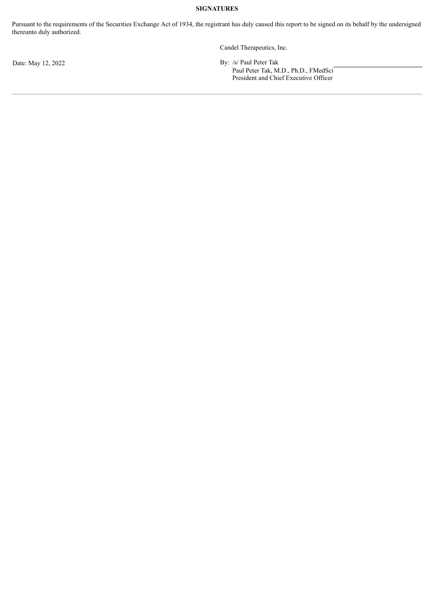#### **SIGNATURES**

Pursuant to the requirements of the Securities Exchange Act of 1934, the registrant has duly caused this report to be signed on its behalf by the undersigned thereunto duly authorized.

Candel Therapeutics, Inc.

Date: May 12, 2022 By: /s/ Paul Peter Tak

Paul Peter Tak, M.D., Ph.D., FMedSci President and Chief Executive Officer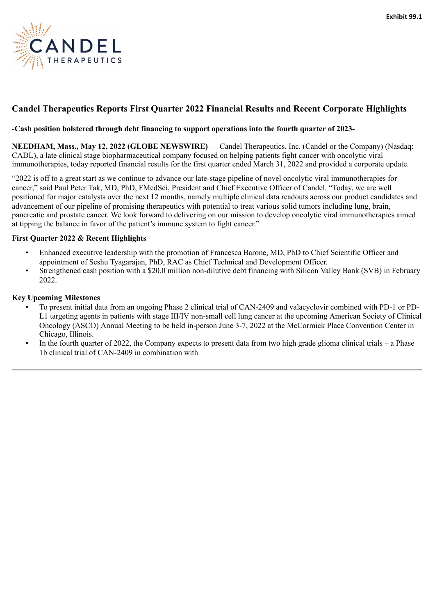<span id="page-3-0"></span>

# **Candel Therapeutics Reports First Quarter 2022 Financial Results and Recent Corporate Highlights**

#### **-Cash position bolstered through debt financing to support operations into the fourth quarter of 2023-**

NEEDHAM, Mass., May 12, 2022 (GLOBE NEWSWIRE) — Candel Therapeutics, Inc. (Candel or the Company) (Nasdaq: CADL), a late clinical stage biopharmaceutical company focused on helping patients fight cancer with oncolytic viral immunotherapies, today reported financial results for the first quarter ended March 31, 2022 and provided a corporate update.

"2022 is off to a great start as we continue to advance our late-stage pipeline of novel oncolytic viral immunotherapies for cancer," said Paul Peter Tak, MD, PhD, FMedSci, President and Chief Executive Officer of Candel. "Today, we are well positioned for major catalysts over the next 12 months, namely multiple clinical data readouts across our product candidates and advancement of our pipeline of promising therapeutics with potential to treat various solid tumors including lung, brain, pancreatic and prostate cancer. We look forward to delivering on our mission to develop oncolytic viral immunotherapies aimed at tipping the balance in favor of the patient's immune system to fight cancer."

#### **First Quarter 2022 & Recent Highlights**

- Enhanced executive leadership with the promotion of Francesca Barone, MD, PhD to Chief Scientific Officer and appointment of Seshu Tyagarajan, PhD, RAC as Chief Technical and Development Officer.
- Strengthened cash position with a \$20.0 million non-dilutive debt financing with Silicon Valley Bank (SVB) in February 2022.

#### **Key Upcoming Milestones**

- To present initial data from an ongoing Phase 2 clinical trial of CAN-2409 and valacyclovir combined with PD-1 or PD-L1 targeting agents in patients with stage III/IV non-small cell lung cancer at the upcoming American Society of Clinical Oncology (ASCO) Annual Meeting to be held in-person June 3-7, 2022 at the McCormick Place Convention Center in Chicago, Illinois.
- In the fourth quarter of 2022, the Company expects to present data from two high grade glioma clinical trials a Phase 1b clinical trial of CAN-2409 in combination with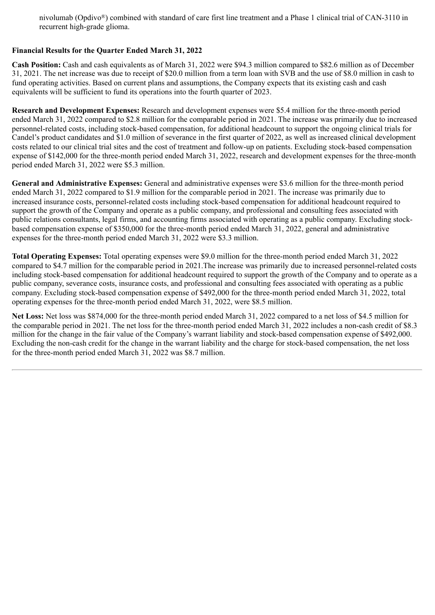nivolumab (Opdivo®) combined with standard of care first line treatment and a Phase 1 clinical trial of CAN-3110 in recurrent high-grade glioma.

#### **Financial Results for the Quarter Ended March 31, 2022**

**Cash Position:** Cash and cash equivalents as of March 31, 2022 were \$94.3 million compared to \$82.6 million as of December 31, 2021. The net increase was due to receipt of \$20.0 million from a term loan with SVB and the use of \$8.0 million in cash to fund operating activities. Based on current plans and assumptions, the Company expects that its existing cash and cash equivalents will be sufficient to fund its operations into the fourth quarter of 2023.

**Research and Development Expenses:** Research and development expenses were \$5.4 million for the three-month period ended March 31, 2022 compared to \$2.8 million for the comparable period in 2021. The increase was primarily due to increased personnel-related costs, including stock-based compensation, for additional headcount to support the ongoing clinical trials for Candel's product candidates and \$1.0 million of severance in the first quarter of 2022, as well as increased clinical development costs related to our clinical trial sites and the cost of treatment and follow-up on patients. Excluding stock-based compensation expense of \$142,000 for the three-month period ended March 31, 2022, research and development expenses for the three-month period ended March 31, 2022 were \$5.3 million.

**General and Administrative Expenses:** General and administrative expenses were \$3.6 million for the three-month period ended March 31, 2022 compared to \$1.9 million for the comparable period in 2021. The increase was primarily due to increased insurance costs, personnel-related costs including stock-based compensation for additional headcount required to support the growth of the Company and operate as a public company, and professional and consulting fees associated with public relations consultants, legal firms, and accounting firms associated with operating as a public company. Excluding stockbased compensation expense of \$350,000 for the three-month period ended March 31, 2022, general and administrative expenses for the three-month period ended March 31, 2022 were \$3.3 million.

**Total Operating Expenses:** Total operating expenses were \$9.0 million for the three-month period ended March 31, 2022 compared to \$4.7 million for the comparable period in 2021.The increase was primarily due to increased personnel-related costs including stock-based compensation for additional headcount required to support the growth of the Company and to operate as a public company, severance costs, insurance costs, and professional and consulting fees associated with operating as a public company. Excluding stock-based compensation expense of \$492,000 for the three-month period ended March 31, 2022, total operating expenses for the three-month period ended March 31, 2022, were \$8.5 million.

**Net Loss:** Net loss was \$874,000 for the three-month period ended March 31, 2022 compared to a net loss of \$4.5 million for the comparable period in 2021. The net loss for the three-month period ended March 31, 2022 includes a non-cash credit of \$8.3 million for the change in the fair value of the Company's warrant liability and stock-based compensation expense of \$492,000. Excluding the non-cash credit for the change in the warrant liability and the charge for stock-based compensation, the net loss for the three-month period ended March 31, 2022 was \$8.7 million.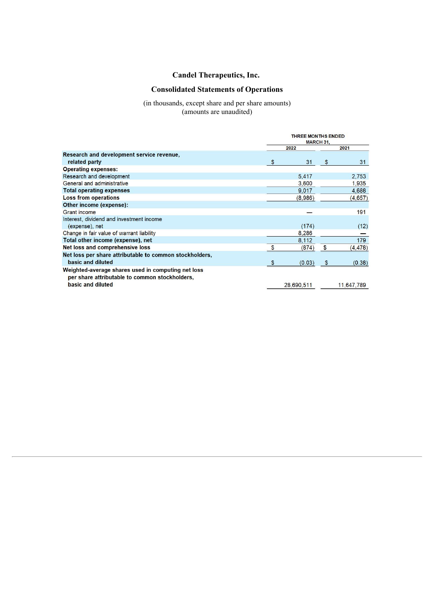## **Candel Therapeutics, Inc.**

## **Consolidated Statements of Operations**

#### (in thousands, except share and per share amounts) (amounts are unaudited)

|                                                                                                      | <b>THREE MONTHS ENDED</b><br><b>MARCH 31.</b> |            |    |            |  |
|------------------------------------------------------------------------------------------------------|-----------------------------------------------|------------|----|------------|--|
|                                                                                                      |                                               | 2022       |    | 2021       |  |
| Research and development service revenue,                                                            |                                               |            |    |            |  |
| related party                                                                                        | \$                                            | 31         | \$ | 31         |  |
| <b>Operating expenses:</b>                                                                           |                                               |            |    |            |  |
| Research and development                                                                             |                                               | 5,417      |    | 2,753      |  |
| General and administrative                                                                           |                                               | 3,600      |    | 1,935      |  |
| <b>Total operating expenses</b>                                                                      |                                               | 9,017      |    | 4,688      |  |
| <b>Loss from operations</b>                                                                          |                                               | (8,986)    |    | (4,657)    |  |
| Other income (expense):                                                                              |                                               |            |    |            |  |
| <b>Grant</b> income                                                                                  |                                               |            |    | 191        |  |
| Interest, dividend and investment income                                                             |                                               |            |    |            |  |
| (expense), net                                                                                       |                                               | (174)      |    | (12)       |  |
| Change in fair value of warrant liability                                                            |                                               | 8,286      |    |            |  |
| Total other income (expense), net                                                                    |                                               | 8,112      |    | 179        |  |
| Net loss and comprehensive loss                                                                      | $\mathbf{s}$                                  | (874)      | \$ | (4, 478)   |  |
| Net loss per share attributable to common stockholders,                                              |                                               |            |    |            |  |
| basic and diluted                                                                                    |                                               | (0.03)     | \$ | (0.38)     |  |
| Weighted-average shares used in computing net loss<br>per share attributable to common stockholders, |                                               |            |    |            |  |
| basic and diluted                                                                                    |                                               | 28,690,511 |    | 11,647,789 |  |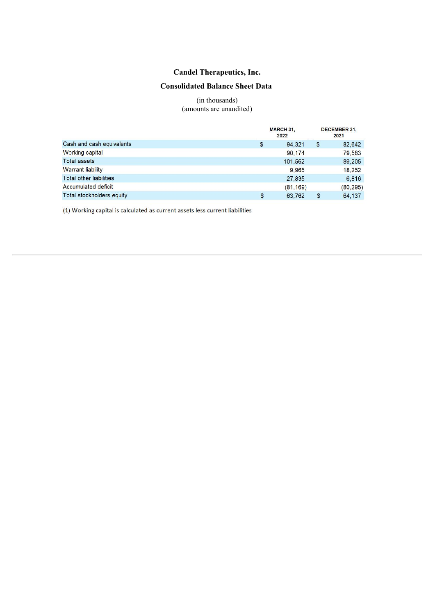# **Candel Therapeutics, Inc.**

### **Consolidated Balance Sheet Data**

(in thousands) (amounts are unaudited)

|                                |    | <b>MARCH 31.</b><br>2022 |    |           |
|--------------------------------|----|--------------------------|----|-----------|
| Cash and cash equivalents      | \$ | 94.321                   | \$ | 82.642    |
| <b>Working capital</b>         |    | 90,174                   |    | 79,583    |
| <b>Total assets</b>            |    | 101,562                  |    | 89,205    |
| <b>Warrant liability</b>       |    | 9.965                    |    | 18.252    |
| <b>Total other liabilities</b> |    | 27,835                   |    | 6,816     |
| <b>Accumulated deficit</b>     |    | (81, 169)                |    | (80, 295) |
| Total stockholders equity      | S  | 63,762                   | \$ | 64.137    |

(1) Working capital is calculated as current assets less current liabilities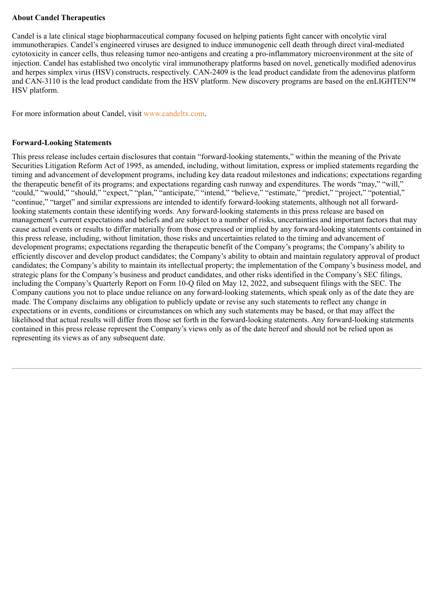#### **About Candel Therapeutics**

Candel is a late clinical stage biopharmaceutical company focused on helping patients fight cancer with oncolytic viral immunotherapies. Candel's engineered viruses are designed to induce immunogenic cell death through direct viral-mediated cytotoxicity in cancer cells, thus releasing tumor neo-antigens and creating a pro-inflammatory microenvironment at the site of injection. Candel has established two oncolytic viral immunotherapy platforms based on novel, genetically modified adenovirus and herpes simplex virus (HSV) constructs, respectively. CAN-2409 is the lead product candidate from the adenovirus platform and CAN-3110 is the lead product candidate from the HSV platform. New discovery programs are based on the enLIGHTEN™ HSV platform.

For more information about Candel, visit www.candeltx.com.

#### **Forward-Looking Statements**

This press release includes certain disclosures that contain "forward-looking statements," within the meaning of the Private Securities Litigation Reform Act of 1995, as amended, including, without limitation, express or implied statements regarding the timing and advancement of development programs, including key data readout milestones and indications; expectations regarding the therapeutic benefit of its programs; and expectations regarding cash runway and expenditures. The words "may," "will," "could," "would," "should," "expect," "plan," "anticipate," "intend," "believe," "estimate," "predict," "project," "potential," "continue," "target" and similar expressions are intended to identify forward-looking statements, although not all forwardlooking statements contain these identifying words. Any forward-looking statements in this press release are based on management's current expectations and beliefs and are subject to a number of risks, uncertainties and important factors that may cause actual events or results to differ materially from those expressed or implied by any forward-looking statements contained in this press release, including, without limitation, those risks and uncertainties related to the timing and advancement of development programs; expectations regarding the therapeutic benefit of the Company's programs; the Company's ability to efficiently discover and develop product candidates; the Company's ability to obtain and maintain regulatory approval of product candidates; the Company's ability to maintain its intellectual property; the implementation of the Company's business model, and strategic plans for the Company's business and product candidates, and other risks identified in the Company's SEC filings, including the Company's Quarterly Report on Form 10-Q filed on May 12, 2022, and subsequent filings with the SEC. The Company cautions you not to place undue reliance on any forward-looking statements, which speak only as of the date they are made. The Company disclaims any obligation to publicly update or revise any such statements to reflect any change in expectations or in events, conditions or circumstances on which any such statements may be based, or that may affect the likelihood that actual results will differ from those set forth in the forward-looking statements. Any forward-looking statements contained in this press release represent the Company's views only as of the date hereof and should not be relied upon as representing its views as of any subsequent date.